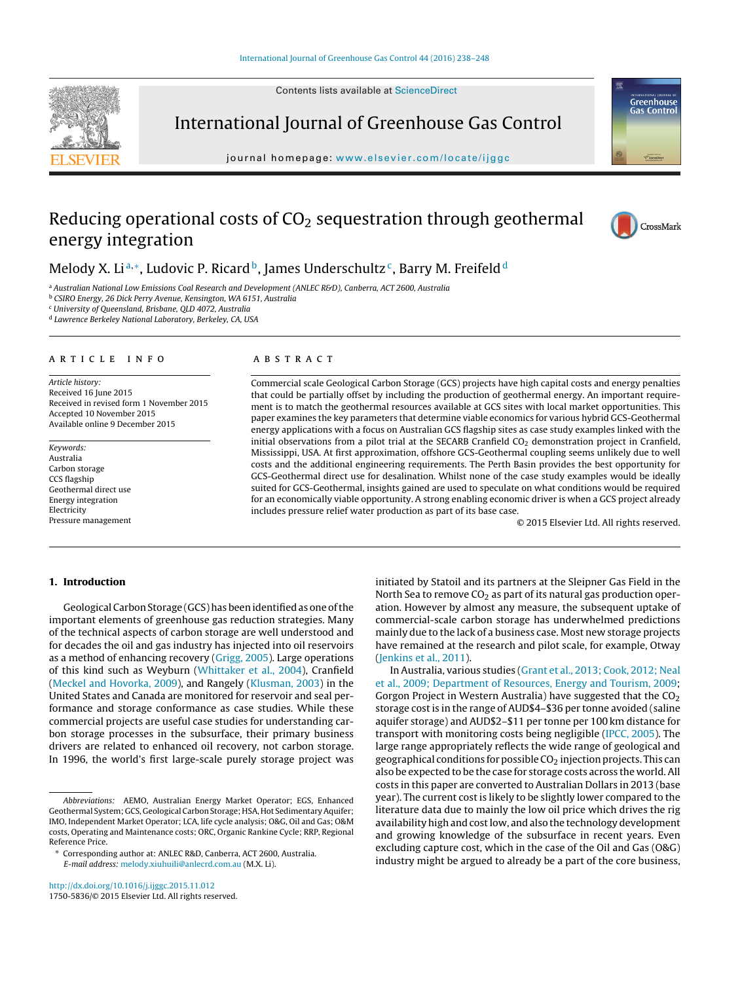Contents lists available at [ScienceDirect](http://www.sciencedirect.com/science/journal/17505836)



International Journal of Greenhouse Gas Control

journal homepage: [www.elsevier.com/locate/ijggc](http://www.elsevier.com/locate/ijggc)

# Reducing operational costs of  $CO<sub>2</sub>$  sequestration through geothermal energy integration



Greenhouse<br>Gas Control

# Melody X. Li<sup>a,\*</sup>, Ludovic P. Ricard<sup>b</sup>, James Underschultz<sup>c</sup>, Barry M. Freifeld<sup>d</sup>

a Australian National Low Emissions Coal Research and Development (ANLEC R&D), Canberra, ACT 2600, Australia

<sup>b</sup> CSIRO Energy, 26 Dick Perry Avenue, Kensington, WA 6151, Australia

 $c$  University of Oueensland, Brisbane, OLD 4072, Australia

<sup>d</sup> Lawrence Berkeley National Laboratory, Berkeley, CA, USA

## a r t i c l e i n f o

Article history: Received 16 June 2015 Received in revised form 1 November 2015 Accepted 10 November 2015 Available online 9 December 2015

Keywords: Australia Carbon storage CCS flagship Geothermal direct use Energy integration Electricity Pressure management

# A B S T R A C T

Commercial scale Geological Carbon Storage (GCS) projects have high capital costs and energy penalties that could be partially offset by including the production of geothermal energy. An important requirement is to match the geothermal resources available at GCS sites with local market opportunities. This paper examines the key parameters that determine viable economics for various hybrid GCS-Geothermal energy applications with a focus on Australian GCS flagship sites as case study examples linked with the initial observations from a pilot trial at the SECARB Cranfield CO<sub>2</sub> demonstration project in Cranfield, Mississippi, USA. At first approximation, offshore GCS-Geothermal coupling seems unlikely due to well costs and the additional engineering requirements. The Perth Basin provides the best opportunity for GCS-Geothermal direct use for desalination. Whilst none of the case study examples would be ideally suited for GCS-Geothermal, insights gained are used to speculate on what conditions would be required for an economically viable opportunity. A strong enabling economic driver is when a GCS project already includes pressure relief water production as part of its base case.

© 2015 Elsevier Ltd. All rights reserved.

# **1. Introduction**

Geological Carbon Storage (GCS) has been identified as one of the important elements of greenhouse gas reduction strategies. Many of the technical aspects of carbon storage are well understood and for decades the oil and gas industry has injected into oil reservoirs as a method of enhancing recovery [\(Grigg,](#page--1-0) [2005\).](#page--1-0) Large operations of this kind such as Weyburn ([Whittaker](#page--1-0) et [al.,](#page--1-0) [2004\),](#page--1-0) Cranfield ([Meckel](#page--1-0) [and](#page--1-0) [Hovorka,](#page--1-0) [2009\),](#page--1-0) and Rangely [\(Klusman,](#page--1-0) [2003\)](#page--1-0) in the United States and Canada are monitored for reservoir and seal performance and storage conformance as case studies. While these commercial projects are useful case studies for understanding carbon storage processes in the subsurface, their primary business drivers are related to enhanced oil recovery, not carbon storage. In 1996, the world's first large-scale purely storage project was

∗ Corresponding author at: ANLEC R&D, Canberra, ACT 2600, Australia.

E-mail address: [melody.xiuhuili@anlecrd.com.au](mailto:melody.xiuhuili@anlecrd.com.au) (M.X. Li).

[http://dx.doi.org/10.1016/j.ijggc.2015.11.012](dx.doi.org/10.1016/j.ijggc.2015.11.012) 1750-5836/© 2015 Elsevier Ltd. All rights reserved.

initiated by Statoil and its partners at the Sleipner Gas Field in the North Sea to remove  $CO<sub>2</sub>$  as part of its natural gas production operation. However by almost any measure, the subsequent uptake of commercial-scale carbon storage has underwhelmed predictions mainly due to the lack of a business case. Most new storage projects have remained at the research and pilot scale, for example, Otway [\(Jenkins](#page--1-0) et [al.,](#page--1-0) [2011\).](#page--1-0)

In Australia, various studies ([Grant](#page--1-0) et [al.,](#page--1-0) [2013;](#page--1-0) [Cook,](#page--1-0) [2012;](#page--1-0) [Neal](#page--1-0) et [al.,](#page--1-0) [2009;](#page--1-0) [Department](#page--1-0) [of](#page--1-0) [Resources,](#page--1-0) [Energy](#page--1-0) [and](#page--1-0) [Tourism,](#page--1-0) [2009;](#page--1-0) Gorgon Project in Western Australia) have suggested that the  $CO<sub>2</sub>$ storage cost is in the range of AUD\$4–\$36 per tonne avoided (saline aquifer storage) and AUD\$2–\$11 per tonne per 100 km distance for transport with monitoring costs being negligible [\(IPCC,](#page--1-0) [2005\).](#page--1-0) The large range appropriately reflects the wide range of geological and geographical conditions for possible  $CO<sub>2</sub>$  injection projects. This can also be expected to be the case for storage costs across the world.All costs in this paper are converted to Australian Dollars in 2013 (base year). The current cost is likely to be slightly lower compared to the literature data due to mainly the low oil price which drives the rig availability high and cost low, and also the technology development and growing knowledge of the subsurface in recent years. Even excluding capture cost, which in the case of the Oil and Gas (O&G) industry might be argued to already be a part of the core business,

Abbreviations: AEMO, Australian Energy Market Operator; EGS, Enhanced Geothermal System; GCS, Geological Carbon Storage; HSA, Hot Sedimentary Aquifer; IMO, Independent Market Operator; LCA, life cycle analysis; O&G, Oil and Gas; O&M costs, Operating and Maintenance costs; ORC, Organic Rankine Cycle; RRP, Regional Reference Price.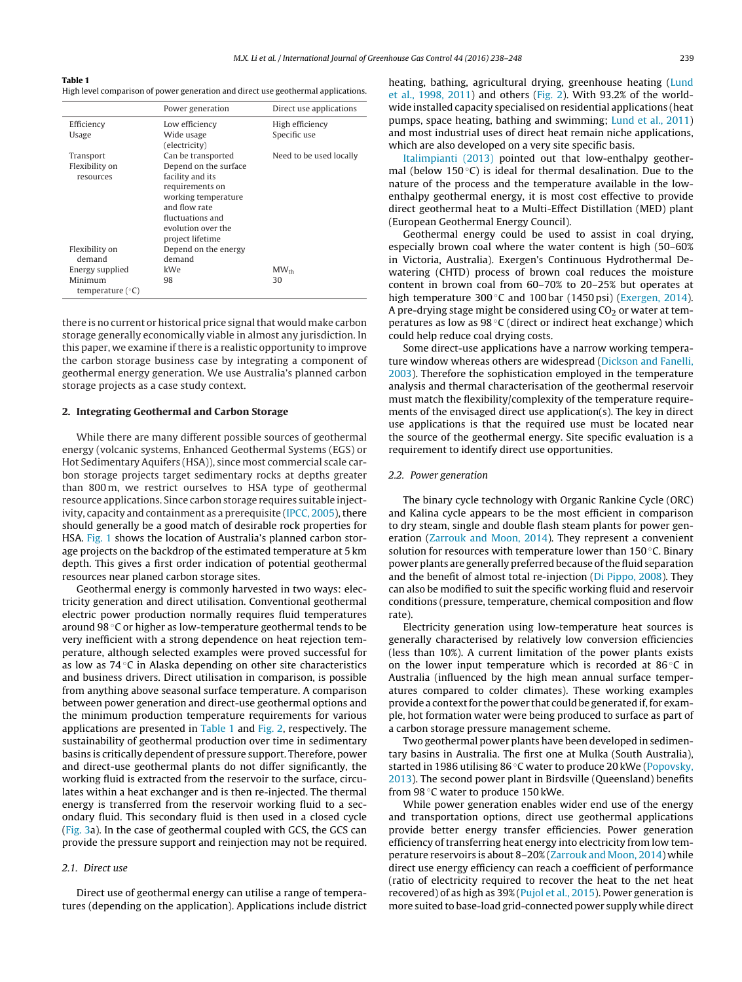#### **Table 1**

High level comparison of power generation and direct use geothermal applications.

|                    | Power generation      | Direct use applications |
|--------------------|-----------------------|-------------------------|
| Efficiency         | Low efficiency        | High efficiency         |
| Usage              | Wide usage            | Specific use            |
|                    | (electricity)         |                         |
| Transport          | Can be transported    | Need to be used locally |
| Flexibility on     | Depend on the surface |                         |
| resources          | facility and its      |                         |
|                    | requirements on       |                         |
|                    | working temperature   |                         |
|                    | and flow rate         |                         |
|                    | fluctuations and      |                         |
|                    | evolution over the    |                         |
|                    | project lifetime      |                         |
| Flexibility on     | Depend on the energy  |                         |
| demand             | demand                |                         |
| Energy supplied    | kWe                   | $MW_{th}$               |
| Minimum            | 98                    | 30                      |
| temperature $(°C)$ |                       |                         |

there is no current or historical price signal that would make carbon storage generally economically viable in almost any jurisdiction. In this paper, we examine if there is a realistic opportunity to improve the carbon storage business case by integrating a component of geothermal energy generation. We use Australia's planned carbon storage projects as a case study context.

## **2. Integrating Geothermal and Carbon Storage**

While there are many different possible sources of geothermal energy (volcanic systems, Enhanced Geothermal Systems (EGS) or Hot Sedimentary Aquifers (HSA)), since most commercial scale carbon storage projects target sedimentary rocks at depths greater than 800 m, we restrict ourselves to HSA type of geothermal resource applications. Since carbon storage requires suitable inject-ivity, capacity and containment as a prerequisite ([IPCC,](#page--1-0)  $2005$ ), there should generally be a good match of desirable rock properties for HSA. [Fig.](#page--1-0) 1 shows the location of Australia's planned carbon storage projects on the backdrop of the estimated temperature at 5 km depth. This gives a first order indication of potential geothermal resources near planed carbon storage sites.

Geothermal energy is commonly harvested in two ways: electricity generation and direct utilisation. Conventional geothermal electric power production normally requires fluid temperatures around 98 ◦C or higher as low-temperature geothermal tends to be very inefficient with a strong dependence on heat rejection temperature, although selected examples were proved successful for as low as 74 ◦C in Alaska depending on other site characteristics and business drivers. Direct utilisation in comparison, is possible from anything above seasonal surface temperature. A comparison between power generation and direct-use geothermal options and the minimum production temperature requirements for various applications are presented in Table 1 and [Fig.](#page--1-0) 2, respectively. The sustainability of geothermal production over time in sedimentary basins is critically dependent of pressure support. Therefore, power and direct-use geothermal plants do not differ significantly, the working fluid is extracted from the reservoir to the surface, circulates within a heat exchanger and is then re-injected. The thermal energy is transferred from the reservoir working fluid to a secondary fluid. This secondary fluid is then used in a closed cycle ([Fig.](#page--1-0) 3a). In the case of geothermal coupled with GCS, the GCS can provide the pressure support and reinjection may not be required.

## 2.1. Direct use

Direct use of geothermal energy can utilise a range of temperatures (depending on the application). Applications include district heating, bathing, agricultural drying, greenhouse heating ([Lund](#page--1-0) et [al.,](#page--1-0) [1998,](#page--1-0) [2011\)](#page--1-0) and others ([Fig.](#page--1-0) 2). With 93.2% of the worldwide installed capacity specialised on residential applications (heat pumps, space heating, bathing and swimming; [Lund](#page--1-0) et [al.,](#page--1-0) [2011\)](#page--1-0) and most industrial uses of direct heat remain niche applications, which are also developed on a very site specific basis.

[Italimpianti](#page--1-0) [\(2013\)](#page--1-0) pointed out that low-enthalpy geothermal (below 150 $\degree$ C) is ideal for thermal desalination. Due to the nature of the process and the temperature available in the lowenthalpy geothermal energy, it is most cost effective to provide direct geothermal heat to a Multi-Effect Distillation (MED) plant (European Geothermal Energy Council).

Geothermal energy could be used to assist in coal drying, especially brown coal where the water content is high (50–60% in Victoria, Australia). Exergen's Continuous Hydrothermal Dewatering (CHTD) process of brown coal reduces the moisture content in brown coal from 60–70% to 20–25% but operates at high temperature 300 ℃ and 100 bar (1450 psi) ([Exergen,](#page--1-0) [2014\).](#page--1-0) A pre-drying stage might be considered using  $CO<sub>2</sub>$  or water at temperatures as low as  $98 °C$  (direct or indirect heat exchange) which could help reduce coal drying costs.

Some direct-use applications have a narrow working temperature window whereas others are widespread ([Dickson](#page--1-0) [and](#page--1-0) [Fanelli,](#page--1-0) [2003\).](#page--1-0) Therefore the sophistication employed in the temperature analysis and thermal characterisation of the geothermal reservoir must match the flexibility/complexity of the temperature requirements of the envisaged direct use application(s). The key in direct use applications is that the required use must be located near the source of the geothermal energy. Site specific evaluation is a requirement to identify direct use opportunities.

#### 2.2. Power generation

The binary cycle technology with Organic Rankine Cycle (ORC) and Kalina cycle appears to be the most efficient in comparison to dry steam, single and double flash steam plants for power generation ([Zarrouk](#page--1-0) [and](#page--1-0) [Moon,](#page--1-0) [2014\).](#page--1-0) They represent a convenient solution for resources with temperature lower than 150 ◦C. Binary power plants are generally preferred because ofthe fluid separation and the benefit of almost total re-injection ([Di](#page--1-0) [Pippo,](#page--1-0) [2008\).](#page--1-0) They can also be modified to suit the specific working fluid and reservoir conditions (pressure, temperature, chemical composition and flow rate).

Electricity generation using low-temperature heat sources is generally characterised by relatively low conversion efficiencies (less than 10%). A current limitation of the power plants exists on the lower input temperature which is recorded at 86 ◦C in Australia (influenced by the high mean annual surface temperatures compared to colder climates). These working examples provide a context for the power that could be generated if, for example, hot formation water were being produced to surface as part of a carbon storage pressure management scheme.

Two geothermal power plants have been developed in sedimentary basins in Australia. The first one at Mulka (South Australia), started in 1986 utilising 86 ◦C water to produce 20 kWe [\(Popovsky,](#page--1-0) [2013\).](#page--1-0) The second power plant in Birdsville (Queensland) benefits from 98 ◦C water to produce 150 kWe.

While power generation enables wider end use of the energy and transportation options, direct use geothermal applications provide better energy transfer efficiencies. Power generation efficiency of transferring heat energy into electricity from low temperature reservoirs is about 8–20% ([Zarrouk](#page--1-0) [and](#page--1-0) [Moon,](#page--1-0) [2014\)](#page--1-0) while direct use energy efficiency can reach a coefficient of performance (ratio of electricity required to recover the heat to the net heat recovered) of as high as 39% ([Pujol](#page--1-0) et [al.,](#page--1-0) [2015\).](#page--1-0) Power generation is more suited to base-load grid-connected power supply while direct